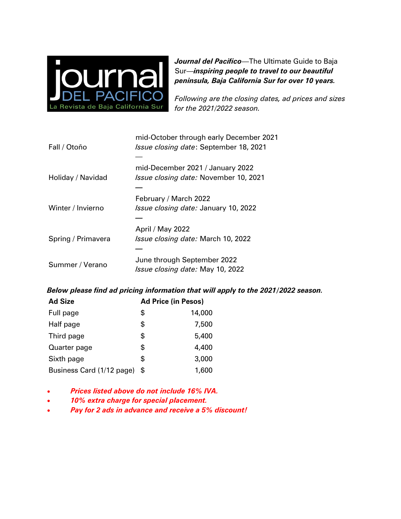

*Journal del Pacifico*—The Ultimate Guide to Baja Sur—*inspiring people to travel to our beautiful peninsula, Baja California Sur for over 10 years.* 

*Following are the closing dates, ad prices and sizes for the 2021/2022 season.*

| Fall / Otoño       | mid-October through early December 2021<br><i>Issue closing date: September 18, 2021</i> |
|--------------------|------------------------------------------------------------------------------------------|
|                    |                                                                                          |
| Holiday / Navidad  | mid-December 2021 / January 2022<br>Issue closing date: November 10, 2021                |
| Winter / Invierno  | February / March 2022<br><i>Issue closing date: January 10, 2022</i>                     |
|                    |                                                                                          |
| Spring / Primavera | April / May 2022<br>Issue closing date: March 10, 2022                                   |
| Summer / Verano    | June through September 2022<br><i>Issue closing date:</i> May 10, 2022                   |

## *Below please find ad pricing information that will apply to the 2021/2022 season.*

| <b>Ad Size</b>            | <b>Ad Price (in Pesos)</b> |        |
|---------------------------|----------------------------|--------|
| Full page                 | \$                         | 14,000 |
| Half page                 | \$                         | 7,500  |
| Third page                | \$                         | 5,400  |
| Quarter page              | \$                         | 4,400  |
| Sixth page                | \$                         | 3,000  |
| Business Card (1/12 page) | S                          | 1,600  |

- *Prices listed above do not include 16% IVA.*
- *10% extra charge for special placement.*
- *Pay for 2 ads in advance and receive a 5% discount!*